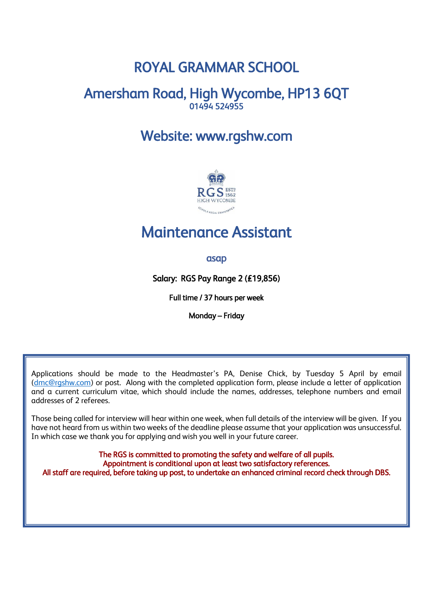# ROYAL GRAMMAR SCHOOL

# Amersham Road, High Wycombe, HP13 6QT 01494 524955

# Website: www.rgshw.com



# Maintenance Assistant

# asap

Salary: RGS Pay Range 2 (£19,856)

Full time / 37 hours per week

Monday – Friday

Applications should be made to the Headmaster's PA, Denise Chick, by Tuesday 5 April by email [\(dmc@rgshw.com\)](mailto:dmc@rgshw.com) or post. Along with the completed application form, please include a letter of application and a current curriculum vitae, which should include the names, addresses, telephone numbers and email addresses of 2 referees.

Those being called for interview will hear within one week, when full details of the interview will be given. If you have not heard from us within two weeks of the deadline please assume that your application was unsuccessful. In which case we thank you for applying and wish you well in your future career.

The RGS is committed to promoting the safety and welfare of all pupils. Appointment is conditional upon at least two satisfactory references. All staff are required, before taking up post, to undertake an enhanced criminal record check through DBS.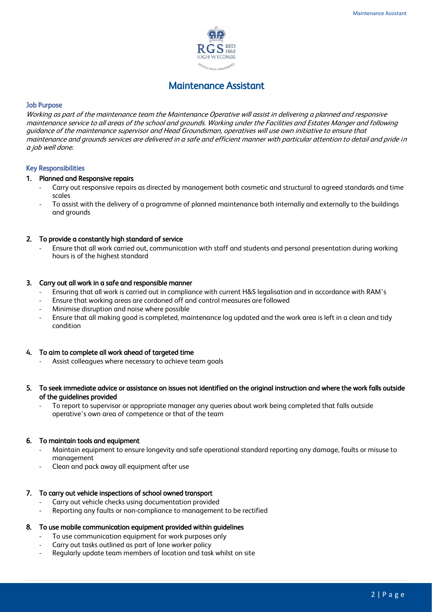

# Maintenance Assistant

#### Job Purpose

Working as part of the maintenance team the Maintenance Operative will assist in delivering a planned and responsive maintenance service to all areas of the school and grounds. Working under the Facilities and Estates Manger and following guidance of the maintenance supervisor and Head Groundsman, operatives will use own initiative to ensure that maintenance and grounds services are delivered in a safe and efficient manner with particular attention to detail and pride in a job well done.

#### Key Responsibilities

#### 1. Planned and Responsive repairs

- Carry out responsive repairs as directed by management both cosmetic and structural to agreed standards and time scales
- To assist with the delivery of a programme of planned maintenance both internally and externally to the buildings and grounds

#### 2. To provide a constantly high standard of service

Ensure that all work carried out, communication with staff and students and personal presentation during working hours is of the highest standard

#### 3. Carry out all work in a safe and responsible manner

- Ensuring that all work is carried out in compliance with current H&S legalisation and in accordance with RAM's
- Ensure that working areas are cordoned off and control measures are followed
- Minimise disruption and noise where possible
- Ensure that all making good is completed, maintenance log updated and the work area is left in a clean and tidy condition

#### 4. To aim to complete all work ahead of targeted time

Assist colleagues where necessary to achieve team goals

#### 5. To seek immediate advice or assistance on issues not identified on the original instruction and where the work falls outside of the guidelines provided

- To report to supervisor or appropriate manager any queries about work being completed that falls outside operative's own area of competence or that of the team

#### 6. To maintain tools and equipment

- Maintain equipment to ensure longevity and safe operational standard reporting any damage, faults or misuse to management
- Clean and pack away all equipment after use

#### 7. To carry out vehicle inspections of school owned transport

- Carry out vehicle checks using documentation provided
- Reporting any faults or non-compliance to management to be rectified

#### 8. To use mobile communication equipment provided within guidelines

- To use communication equipment for work purposes only
- Carry out tasks outlined as part of lone worker policy
- Regularly update team members of location and task whilst on site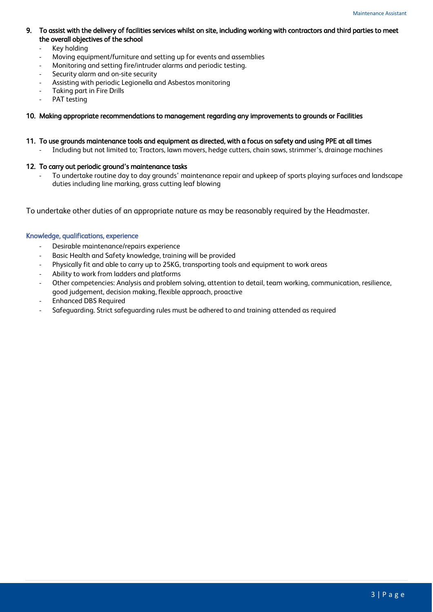#### 9. To assist with the delivery of facilities services whilst on site, including working with contractors and third parties to meet the overall objectives of the school

- Key holding
- Moving equipment/furniture and setting up for events and assemblies
- Monitoring and setting fire/intruder alarms and periodic testing.
- Security alarm and on-site security
- Assisting with periodic Legionella and Asbestos monitoring
- Taking part in Fire Drills
- PAT testing

#### 10. Making appropriate recommendations to management regarding any improvements to grounds or Facilities

#### 11. To use grounds maintenance tools and equipment as directed, with a focus on safety and using PPE at all times

- Including but not limited to; Tractors, lawn movers, hedge cutters, chain saws, strimmer's, drainage machines

#### 12. To carry out periodic ground's maintenance tasks

- To undertake routine day to day grounds' maintenance repair and upkeep of sports playing surfaces and landscape duties including line marking, grass cutting leaf blowing

To undertake other duties of an appropriate nature as may be reasonably required by the Headmaster.

## Knowledge, qualifications, experience

- Desirable maintenance/repairs experience
- Basic Health and Safety knowledge, training will be provided
- Physically fit and able to carry up to 25KG, transporting tools and equipment to work areas
- Ability to work from ladders and platforms
- Other competencies: Analysis and problem solving, attention to detail, team working, communication, resilience, good judgement, decision making, flexible approach, proactive
- Enhanced DBS Required
- Safeguarding. Strict safeguarding rules must be adhered to and training attended as required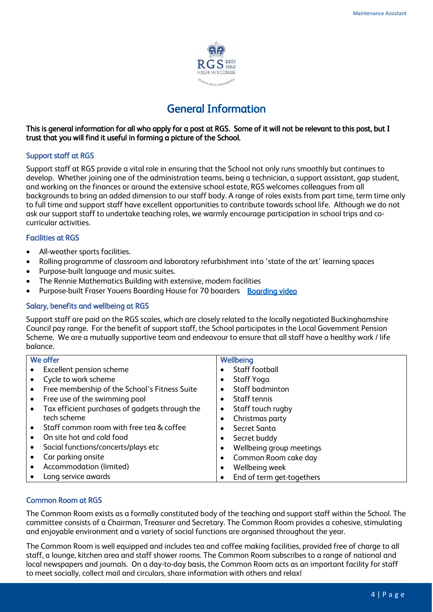

# General Information

# This is general information for all who apply for a post at RGS. Some of it will not be relevant to this post, but I trust that you will find it useful in forming a picture of the School.

# Support staff at RGS

Support staff at RGS provide a vital role in ensuring that the School not only runs smoothly but continues to develop. Whether joining one of the administration teams, being a technician, a support assistant, gap student, and working on the finances or around the extensive school estate, RGS welcomes colleagues from all backgrounds to bring an added dimension to our staff body. A range of roles exists from part time, term time only to full time and support staff have excellent opportunities to contribute towards school life. Although we do not ask our support staff to undertake teaching roles, we warmly encourage participation in school trips and cocurricular activities.

# Facilities at RGS

- All-weather sports facilities.
- Rolling programme of classroom and laboratory refurbishment into 'state of the art' learning spaces
- Purpose-built language and music suites.
- The Rennie Mathematics Building with extensive, modern facilities
- Purpose-built Fraser Youens Boarding House for 70 boarders [Boarding video](https://youtu.be/j5Wnf2ed1f0)

# Salary, benefits and wellbeing at RGS

Support staff are paid on the RGS scales, which are closely related to the locally negotiated Buckinghamshire Council pay range. For the benefit of support staff, the School participates in the Local Government Pension Scheme. We are a mutually supportive team and endeavour to ensure that all staff have a healthy work / life balance.

| We offer  |                                                | Wellbeing |                           |
|-----------|------------------------------------------------|-----------|---------------------------|
|           | Excellent pension scheme                       |           | Staff football            |
|           | Cycle to work scheme                           |           | Staff Yoga                |
|           | Free membership of the School's Fitness Suite  | ٠         | Staff badminton           |
| $\bullet$ | Free use of the swimming pool                  | $\bullet$ | Staff tennis              |
|           | Tax efficient purchases of gadgets through the | ٠         | Staff touch rugby         |
|           | tech scheme                                    |           | Christmas party           |
|           | Staff common room with free tea & coffee       |           | Secret Santa              |
|           | On site hot and cold food                      |           | Secret buddy              |
|           | Social functions/concerts/plays etc            | ٠         | Wellbeing group meetings  |
|           | Car parking onsite                             |           | Common Room cake day      |
|           | Accommodation (limited)                        | $\bullet$ | Wellbeing week            |
|           | Long service awards                            |           | End of term get-togethers |

### Common Room at RGS

The Common Room exists as a formally constituted body of the teaching and support staff within the School. The committee consists of a Chairman, Treasurer and Secretary. The Common Room provides a cohesive, stimulating and enjoyable environment and a variety of social functions are organised throughout the year.

The Common Room is well equipped and includes tea and coffee making facilities, provided free of charge to all staff, a lounge, kitchen area and staff shower rooms. The Common Room subscribes to a range of national and local newspapers and journals. On a day-to-day basis, the Common Room acts as an important facility for staff to meet socially, collect mail and circulars, share information with others and relax!